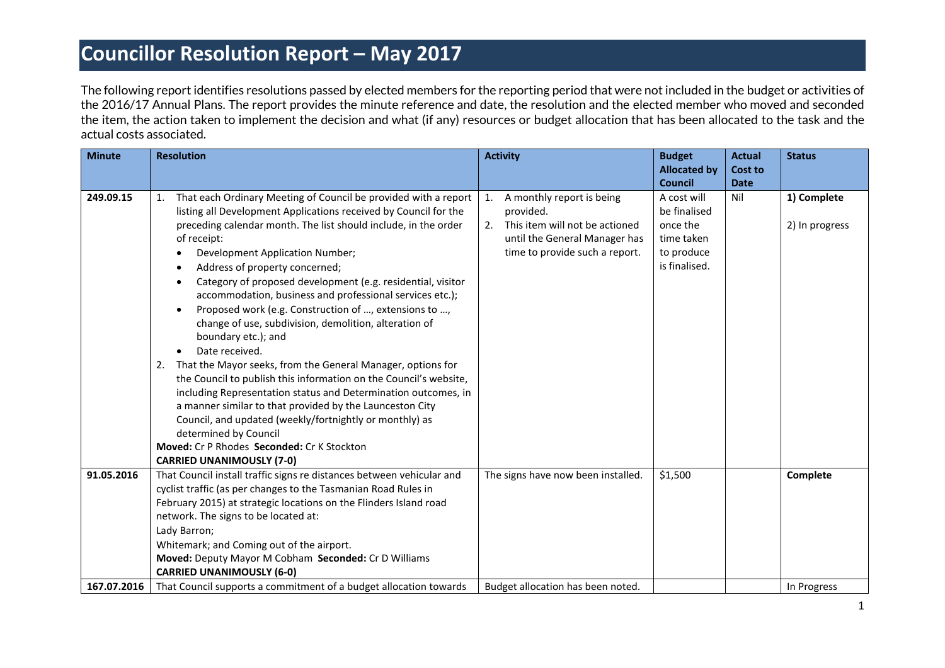The following report identifies resolutions passed by elected members for the reporting period that were not included in the budget or activities of the 2016/17 Annual Plans. The report provides the minute reference and date, the resolution and the elected member who moved and seconded the item, the action taken to implement the decision and what (if any) resources or budget allocation that has been allocated to the task and the actual costs associated.

| <b>Minute</b> | <b>Resolution</b>                                                                | <b>Activity</b>                      | <b>Budget</b>       | <b>Actual</b> | <b>Status</b>  |
|---------------|----------------------------------------------------------------------------------|--------------------------------------|---------------------|---------------|----------------|
|               |                                                                                  |                                      | <b>Allocated by</b> | Cost to       |                |
|               |                                                                                  |                                      | <b>Council</b>      | <b>Date</b>   |                |
| 249.09.15     | That each Ordinary Meeting of Council be provided with a report<br>1.            | A monthly report is being<br>1.      | A cost will         | Nil           | 1) Complete    |
|               | listing all Development Applications received by Council for the                 | provided.                            | be finalised        |               |                |
|               | preceding calendar month. The list should include, in the order                  | This item will not be actioned<br>2. | once the            |               | 2) In progress |
|               | of receipt:                                                                      | until the General Manager has        | time taken          |               |                |
|               | Development Application Number;<br>$\bullet$                                     | time to provide such a report.       | to produce          |               |                |
|               | Address of property concerned;<br>$\bullet$                                      |                                      | is finalised.       |               |                |
|               | Category of proposed development (e.g. residential, visitor<br>$\bullet$         |                                      |                     |               |                |
|               | accommodation, business and professional services etc.);                         |                                      |                     |               |                |
|               | Proposed work (e.g. Construction of , extensions to ,                            |                                      |                     |               |                |
|               | change of use, subdivision, demolition, alteration of                            |                                      |                     |               |                |
|               | boundary etc.); and                                                              |                                      |                     |               |                |
|               | Date received.<br>$\bullet$                                                      |                                      |                     |               |                |
|               | That the Mayor seeks, from the General Manager, options for<br>2.                |                                      |                     |               |                |
|               | the Council to publish this information on the Council's website,                |                                      |                     |               |                |
|               | including Representation status and Determination outcomes, in                   |                                      |                     |               |                |
|               | a manner similar to that provided by the Launceston City                         |                                      |                     |               |                |
|               | Council, and updated (weekly/fortnightly or monthly) as<br>determined by Council |                                      |                     |               |                |
|               | Moved: Cr P Rhodes Seconded: Cr K Stockton                                       |                                      |                     |               |                |
|               | <b>CARRIED UNANIMOUSLY (7-0)</b>                                                 |                                      |                     |               |                |
| 91.05.2016    | That Council install traffic signs re distances between vehicular and            | The signs have now been installed.   | \$1,500             |               | Complete       |
|               | cyclist traffic (as per changes to the Tasmanian Road Rules in                   |                                      |                     |               |                |
|               | February 2015) at strategic locations on the Flinders Island road                |                                      |                     |               |                |
|               | network. The signs to be located at:                                             |                                      |                     |               |                |
|               | Lady Barron;                                                                     |                                      |                     |               |                |
|               | Whitemark; and Coming out of the airport.                                        |                                      |                     |               |                |
|               | Moved: Deputy Mayor M Cobham Seconded: Cr D Williams                             |                                      |                     |               |                |
|               | <b>CARRIED UNANIMOUSLY (6-0)</b>                                                 |                                      |                     |               |                |
| 167.07.2016   | That Council supports a commitment of a budget allocation towards                | Budget allocation has been noted.    |                     |               | In Progress    |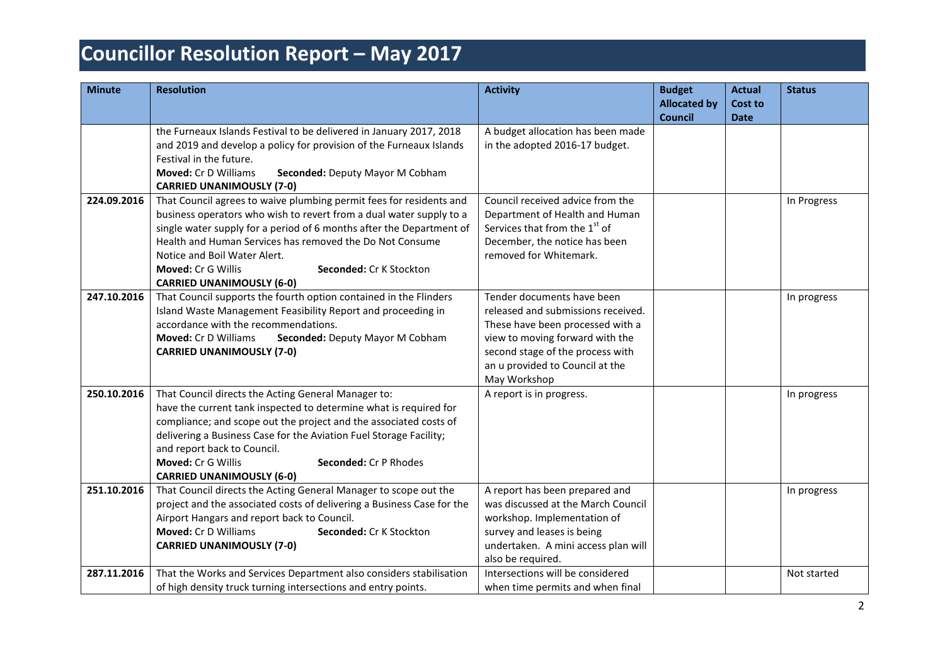| <b>Minute</b> | <b>Resolution</b>                                                                                                                                                                                                                                                                                                                                                                                   | <b>Activity</b>                                                                                                                                                                                                                | <b>Budget</b><br><b>Allocated by</b><br><b>Council</b> | <b>Actual</b><br><b>Cost to</b><br><b>Date</b> | <b>Status</b> |
|---------------|-----------------------------------------------------------------------------------------------------------------------------------------------------------------------------------------------------------------------------------------------------------------------------------------------------------------------------------------------------------------------------------------------------|--------------------------------------------------------------------------------------------------------------------------------------------------------------------------------------------------------------------------------|--------------------------------------------------------|------------------------------------------------|---------------|
|               | the Furneaux Islands Festival to be delivered in January 2017, 2018<br>and 2019 and develop a policy for provision of the Furneaux Islands<br>Festival in the future.<br><b>Moved: Cr D Williams</b><br>Seconded: Deputy Mayor M Cobham<br><b>CARRIED UNANIMOUSLY (7-0)</b>                                                                                                                         | A budget allocation has been made<br>in the adopted 2016-17 budget.                                                                                                                                                            |                                                        |                                                |               |
| 224.09.2016   | That Council agrees to waive plumbing permit fees for residents and<br>business operators who wish to revert from a dual water supply to a<br>single water supply for a period of 6 months after the Department of<br>Health and Human Services has removed the Do Not Consume<br>Notice and Boil Water Alert.<br>Moved: Cr G Willis<br>Seconded: Cr K Stockton<br><b>CARRIED UNANIMOUSLY (6-0)</b> | Council received advice from the<br>Department of Health and Human<br>Services that from the 1 <sup>st</sup> of<br>December, the notice has been<br>removed for Whitemark.                                                     |                                                        |                                                | In Progress   |
| 247.10.2016   | That Council supports the fourth option contained in the Flinders<br>Island Waste Management Feasibility Report and proceeding in<br>accordance with the recommendations.<br>Moved: Cr D Williams<br>Seconded: Deputy Mayor M Cobham<br><b>CARRIED UNANIMOUSLY (7-0)</b>                                                                                                                            | Tender documents have been<br>released and submissions received.<br>These have been processed with a<br>view to moving forward with the<br>second stage of the process with<br>an u provided to Council at the<br>May Workshop |                                                        |                                                | In progress   |
| 250.10.2016   | That Council directs the Acting General Manager to:<br>have the current tank inspected to determine what is required for<br>compliance; and scope out the project and the associated costs of<br>delivering a Business Case for the Aviation Fuel Storage Facility;<br>and report back to Council.<br>Moved: Cr G Willis<br>Seconded: Cr P Rhodes<br><b>CARRIED UNANIMOUSLY (6-0)</b>               | A report is in progress.                                                                                                                                                                                                       |                                                        |                                                | In progress   |
| 251.10.2016   | That Council directs the Acting General Manager to scope out the<br>project and the associated costs of delivering a Business Case for the<br>Airport Hangars and report back to Council.<br>Moved: Cr D Williams<br>Seconded: Cr K Stockton<br><b>CARRIED UNANIMOUSLY (7-0)</b>                                                                                                                    | A report has been prepared and<br>was discussed at the March Council<br>workshop. Implementation of<br>survey and leases is being<br>undertaken. A mini access plan will<br>also be required.                                  |                                                        |                                                | In progress   |
| 287.11.2016   | That the Works and Services Department also considers stabilisation<br>of high density truck turning intersections and entry points.                                                                                                                                                                                                                                                                | Intersections will be considered<br>when time permits and when final                                                                                                                                                           |                                                        |                                                | Not started   |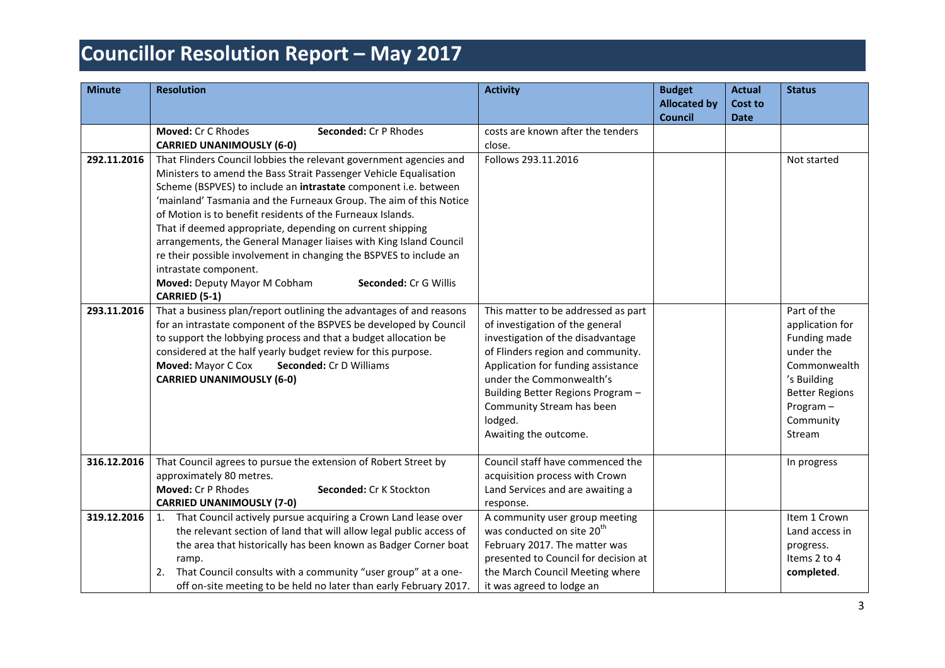| <b>Minute</b> | <b>Resolution</b>                                                                                      | <b>Activity</b>                                                       | <b>Budget</b><br><b>Allocated by</b><br><b>Council</b> | <b>Actual</b><br>Cost to<br><b>Date</b> | <b>Status</b>             |
|---------------|--------------------------------------------------------------------------------------------------------|-----------------------------------------------------------------------|--------------------------------------------------------|-----------------------------------------|---------------------------|
|               | Moved: Cr C Rhodes<br>Seconded: Cr P Rhodes                                                            | costs are known after the tenders<br>close.                           |                                                        |                                         |                           |
| 292.11.2016   | <b>CARRIED UNANIMOUSLY (6-0)</b><br>That Flinders Council lobbies the relevant government agencies and | Follows 293.11.2016                                                   |                                                        |                                         | Not started               |
|               | Ministers to amend the Bass Strait Passenger Vehicle Equalisation                                      |                                                                       |                                                        |                                         |                           |
|               | Scheme (BSPVES) to include an intrastate component i.e. between                                        |                                                                       |                                                        |                                         |                           |
|               | 'mainland' Tasmania and the Furneaux Group. The aim of this Notice                                     |                                                                       |                                                        |                                         |                           |
|               | of Motion is to benefit residents of the Furneaux Islands.                                             |                                                                       |                                                        |                                         |                           |
|               | That if deemed appropriate, depending on current shipping                                              |                                                                       |                                                        |                                         |                           |
|               | arrangements, the General Manager liaises with King Island Council                                     |                                                                       |                                                        |                                         |                           |
|               | re their possible involvement in changing the BSPVES to include an<br>intrastate component.            |                                                                       |                                                        |                                         |                           |
|               | Moved: Deputy Mayor M Cobham<br>Seconded: Cr G Willis                                                  |                                                                       |                                                        |                                         |                           |
|               | CARRIED (5-1)                                                                                          |                                                                       |                                                        |                                         |                           |
| 293.11.2016   | That a business plan/report outlining the advantages of and reasons                                    | This matter to be addressed as part                                   |                                                        |                                         | Part of the               |
|               | for an intrastate component of the BSPVES be developed by Council                                      | of investigation of the general                                       |                                                        |                                         | application for           |
|               | to support the lobbying process and that a budget allocation be                                        | investigation of the disadvantage                                     |                                                        |                                         | Funding made              |
|               | considered at the half yearly budget review for this purpose.                                          | of Flinders region and community.                                     |                                                        |                                         | under the                 |
|               | Moved: Mayor C Cox<br>Seconded: Cr D Williams                                                          | Application for funding assistance                                    |                                                        |                                         | Commonwealth              |
|               | <b>CARRIED UNANIMOUSLY (6-0)</b>                                                                       | under the Commonwealth's                                              |                                                        |                                         | 's Building               |
|               |                                                                                                        | Building Better Regions Program -                                     |                                                        |                                         | <b>Better Regions</b>     |
|               |                                                                                                        | Community Stream has been                                             |                                                        |                                         | Program-                  |
|               |                                                                                                        | lodged.                                                               |                                                        |                                         | Community<br>Stream       |
|               |                                                                                                        | Awaiting the outcome.                                                 |                                                        |                                         |                           |
| 316.12.2016   | That Council agrees to pursue the extension of Robert Street by                                        | Council staff have commenced the                                      |                                                        |                                         | In progress               |
|               | approximately 80 metres.                                                                               | acquisition process with Crown                                        |                                                        |                                         |                           |
|               | Moved: Cr P Rhodes<br>Seconded: Cr K Stockton                                                          | Land Services and are awaiting a                                      |                                                        |                                         |                           |
|               | <b>CARRIED UNANIMOUSLY (7-0)</b>                                                                       | response.                                                             |                                                        |                                         |                           |
| 319.12.2016   | 1. That Council actively pursue acquiring a Crown Land lease over                                      | A community user group meeting                                        |                                                        |                                         | Item 1 Crown              |
|               | the relevant section of land that will allow legal public access of                                    | was conducted on site 20 <sup>th</sup>                                |                                                        |                                         | Land access in            |
|               | the area that historically has been known as Badger Corner boat                                        | February 2017. The matter was<br>presented to Council for decision at |                                                        |                                         | progress.<br>Items 2 to 4 |
|               | ramp.<br>That Council consults with a community "user group" at a one-<br>2.                           | the March Council Meeting where                                       |                                                        |                                         | completed.                |
|               | off on-site meeting to be held no later than early February 2017.                                      | it was agreed to lodge an                                             |                                                        |                                         |                           |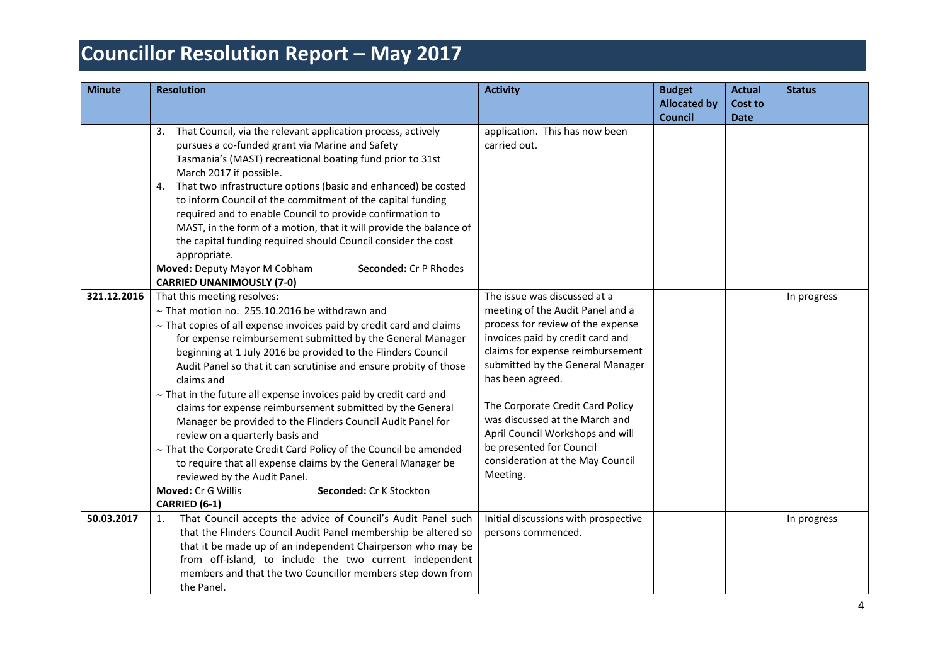| <b>Minute</b> | <b>Resolution</b>                                                                                                                                                                                                                                                                                                                                                                                                                                                                                                                                                                                                                                              | <b>Activity</b>                                            | <b>Budget</b><br><b>Allocated by</b> | <b>Actual</b><br><b>Cost to</b> | <b>Status</b> |
|---------------|----------------------------------------------------------------------------------------------------------------------------------------------------------------------------------------------------------------------------------------------------------------------------------------------------------------------------------------------------------------------------------------------------------------------------------------------------------------------------------------------------------------------------------------------------------------------------------------------------------------------------------------------------------------|------------------------------------------------------------|--------------------------------------|---------------------------------|---------------|
|               |                                                                                                                                                                                                                                                                                                                                                                                                                                                                                                                                                                                                                                                                |                                                            | <b>Council</b>                       | <b>Date</b>                     |               |
|               | 3. That Council, via the relevant application process, actively<br>pursues a co-funded grant via Marine and Safety<br>Tasmania's (MAST) recreational boating fund prior to 31st<br>March 2017 if possible.<br>4. That two infrastructure options (basic and enhanced) be costed<br>to inform Council of the commitment of the capital funding<br>required and to enable Council to provide confirmation to<br>MAST, in the form of a motion, that it will provide the balance of<br>the capital funding required should Council consider the cost<br>appropriate.<br>Moved: Deputy Mayor M Cobham<br>Seconded: Cr P Rhodes<br><b>CARRIED UNANIMOUSLY (7-0)</b> | application. This has now been<br>carried out.             |                                      |                                 |               |
| 321.12.2016   | That this meeting resolves:                                                                                                                                                                                                                                                                                                                                                                                                                                                                                                                                                                                                                                    | The issue was discussed at a                               |                                      |                                 | In progress   |
|               | $\sim$ That motion no. 255.10.2016 be withdrawn and                                                                                                                                                                                                                                                                                                                                                                                                                                                                                                                                                                                                            | meeting of the Audit Panel and a                           |                                      |                                 |               |
|               | $\sim$ That copies of all expense invoices paid by credit card and claims                                                                                                                                                                                                                                                                                                                                                                                                                                                                                                                                                                                      | process for review of the expense                          |                                      |                                 |               |
|               | for expense reimbursement submitted by the General Manager                                                                                                                                                                                                                                                                                                                                                                                                                                                                                                                                                                                                     | invoices paid by credit card and                           |                                      |                                 |               |
|               | beginning at 1 July 2016 be provided to the Flinders Council                                                                                                                                                                                                                                                                                                                                                                                                                                                                                                                                                                                                   | claims for expense reimbursement                           |                                      |                                 |               |
|               | Audit Panel so that it can scrutinise and ensure probity of those                                                                                                                                                                                                                                                                                                                                                                                                                                                                                                                                                                                              | submitted by the General Manager<br>has been agreed.       |                                      |                                 |               |
|               | claims and<br>$\sim$ That in the future all expense invoices paid by credit card and                                                                                                                                                                                                                                                                                                                                                                                                                                                                                                                                                                           |                                                            |                                      |                                 |               |
|               | claims for expense reimbursement submitted by the General                                                                                                                                                                                                                                                                                                                                                                                                                                                                                                                                                                                                      | The Corporate Credit Card Policy                           |                                      |                                 |               |
|               | Manager be provided to the Flinders Council Audit Panel for                                                                                                                                                                                                                                                                                                                                                                                                                                                                                                                                                                                                    | was discussed at the March and                             |                                      |                                 |               |
|               | review on a quarterly basis and                                                                                                                                                                                                                                                                                                                                                                                                                                                                                                                                                                                                                                | April Council Workshops and will                           |                                      |                                 |               |
|               | $\sim$ That the Corporate Credit Card Policy of the Council be amended                                                                                                                                                                                                                                                                                                                                                                                                                                                                                                                                                                                         | be presented for Council                                   |                                      |                                 |               |
|               | to require that all expense claims by the General Manager be                                                                                                                                                                                                                                                                                                                                                                                                                                                                                                                                                                                                   | consideration at the May Council                           |                                      |                                 |               |
|               | reviewed by the Audit Panel.                                                                                                                                                                                                                                                                                                                                                                                                                                                                                                                                                                                                                                   | Meeting.                                                   |                                      |                                 |               |
|               | Moved: Cr G Willis<br>Seconded: Cr K Stockton                                                                                                                                                                                                                                                                                                                                                                                                                                                                                                                                                                                                                  |                                                            |                                      |                                 |               |
| 50.03.2017    | CARRIED (6-1)                                                                                                                                                                                                                                                                                                                                                                                                                                                                                                                                                                                                                                                  |                                                            |                                      |                                 |               |
|               | That Council accepts the advice of Council's Audit Panel such<br>1.<br>that the Flinders Council Audit Panel membership be altered so                                                                                                                                                                                                                                                                                                                                                                                                                                                                                                                          | Initial discussions with prospective<br>persons commenced. |                                      |                                 | In progress   |
|               | that it be made up of an independent Chairperson who may be                                                                                                                                                                                                                                                                                                                                                                                                                                                                                                                                                                                                    |                                                            |                                      |                                 |               |
|               | from off-island, to include the two current independent                                                                                                                                                                                                                                                                                                                                                                                                                                                                                                                                                                                                        |                                                            |                                      |                                 |               |
|               | members and that the two Councillor members step down from                                                                                                                                                                                                                                                                                                                                                                                                                                                                                                                                                                                                     |                                                            |                                      |                                 |               |
|               | the Panel.                                                                                                                                                                                                                                                                                                                                                                                                                                                                                                                                                                                                                                                     |                                                            |                                      |                                 |               |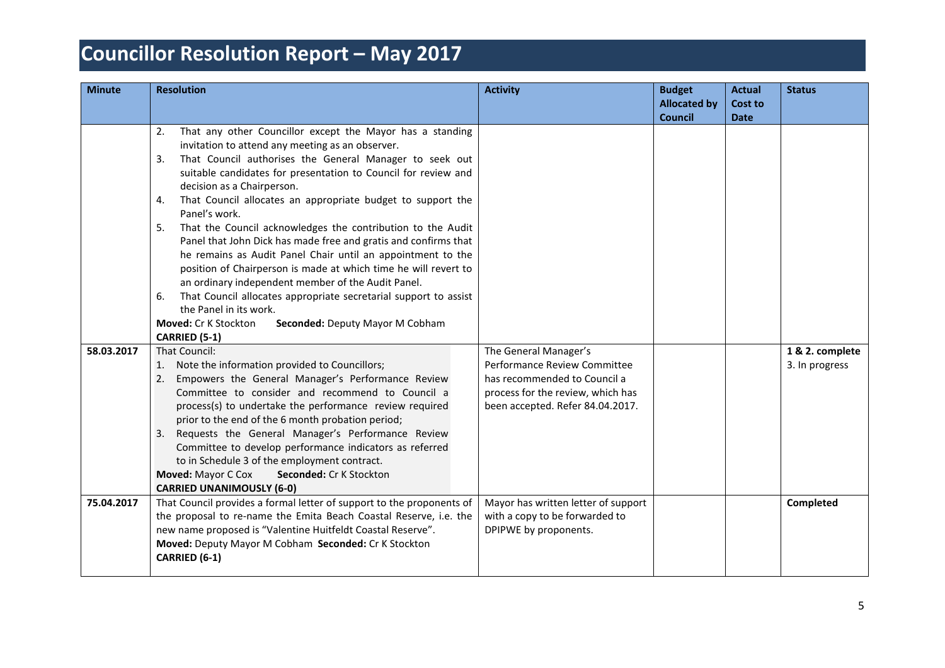| <b>Minute</b> | <b>Resolution</b>                                                                                                                                                                                                                                                                                                                                                                                                                                                                                                                                                                                                                                                                                                                                                                                                                                                         | <b>Activity</b>                                                                                                                                                | <b>Budget</b><br><b>Allocated by</b> | <b>Actual</b><br><b>Cost to</b> | <b>Status</b>                     |
|---------------|---------------------------------------------------------------------------------------------------------------------------------------------------------------------------------------------------------------------------------------------------------------------------------------------------------------------------------------------------------------------------------------------------------------------------------------------------------------------------------------------------------------------------------------------------------------------------------------------------------------------------------------------------------------------------------------------------------------------------------------------------------------------------------------------------------------------------------------------------------------------------|----------------------------------------------------------------------------------------------------------------------------------------------------------------|--------------------------------------|---------------------------------|-----------------------------------|
|               | That any other Councillor except the Mayor has a standing<br>2.<br>invitation to attend any meeting as an observer.<br>That Council authorises the General Manager to seek out<br>3.<br>suitable candidates for presentation to Council for review and<br>decision as a Chairperson.<br>That Council allocates an appropriate budget to support the<br>4.<br>Panel's work.<br>That the Council acknowledges the contribution to the Audit<br>5.<br>Panel that John Dick has made free and gratis and confirms that<br>he remains as Audit Panel Chair until an appointment to the<br>position of Chairperson is made at which time he will revert to<br>an ordinary independent member of the Audit Panel.<br>That Council allocates appropriate secretarial support to assist<br>6.<br>the Panel in its work.<br>Moved: Cr K Stockton<br>Seconded: Deputy Mayor M Cobham |                                                                                                                                                                | <b>Council</b>                       | <b>Date</b>                     |                                   |
|               | <b>CARRIED (5-1)</b>                                                                                                                                                                                                                                                                                                                                                                                                                                                                                                                                                                                                                                                                                                                                                                                                                                                      |                                                                                                                                                                |                                      |                                 |                                   |
| 58.03.2017    | That Council:<br>1. Note the information provided to Councillors;<br>Empowers the General Manager's Performance Review<br>2.<br>Committee to consider and recommend to Council a<br>process(s) to undertake the performance review required<br>prior to the end of the 6 month probation period;<br>3. Requests the General Manager's Performance Review<br>Committee to develop performance indicators as referred<br>to in Schedule 3 of the employment contract.<br>Moved: Mayor C Cox<br>Seconded: Cr K Stockton<br><b>CARRIED UNANIMOUSLY (6-0)</b>                                                                                                                                                                                                                                                                                                                  | The General Manager's<br>Performance Review Committee<br>has recommended to Council a<br>process for the review, which has<br>been accepted. Refer 84.04.2017. |                                      |                                 | 1 & 2. complete<br>3. In progress |
| 75.04.2017    | That Council provides a formal letter of support to the proponents of<br>the proposal to re-name the Emita Beach Coastal Reserve, i.e. the<br>new name proposed is "Valentine Huitfeldt Coastal Reserve".<br>Moved: Deputy Mayor M Cobham Seconded: Cr K Stockton<br>CARRIED (6-1)                                                                                                                                                                                                                                                                                                                                                                                                                                                                                                                                                                                        | Mayor has written letter of support<br>with a copy to be forwarded to<br>DPIPWE by proponents.                                                                 |                                      |                                 | Completed                         |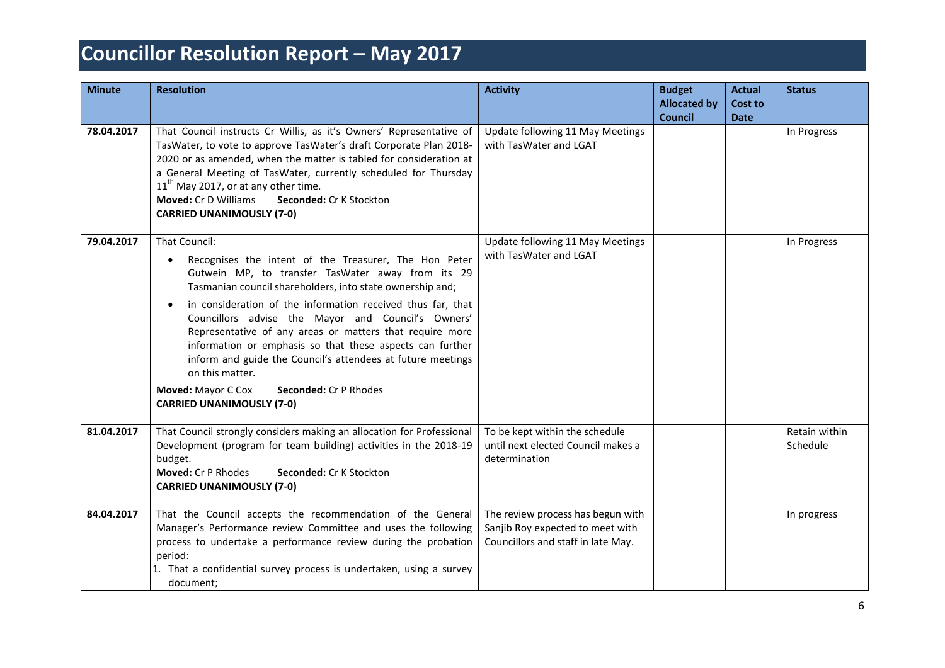| <b>Minute</b> | <b>Resolution</b>                                                                                                                                                                                                                                                                                                                                                                                                                                                                                                                                                                                                                     | <b>Activity</b>                                                                                             | <b>Budget</b><br><b>Allocated by</b><br><b>Council</b> | <b>Actual</b><br>Cost to<br><b>Date</b> | <b>Status</b>             |
|---------------|---------------------------------------------------------------------------------------------------------------------------------------------------------------------------------------------------------------------------------------------------------------------------------------------------------------------------------------------------------------------------------------------------------------------------------------------------------------------------------------------------------------------------------------------------------------------------------------------------------------------------------------|-------------------------------------------------------------------------------------------------------------|--------------------------------------------------------|-----------------------------------------|---------------------------|
| 78.04.2017    | That Council instructs Cr Willis, as it's Owners' Representative of<br>TasWater, to vote to approve TasWater's draft Corporate Plan 2018-<br>2020 or as amended, when the matter is tabled for consideration at<br>a General Meeting of TasWater, currently scheduled for Thursday<br>$11th$ May 2017, or at any other time.<br><b>Moved: Cr D Williams</b><br>Seconded: Cr K Stockton<br><b>CARRIED UNANIMOUSLY (7-0)</b>                                                                                                                                                                                                            | Update following 11 May Meetings<br>with TasWater and LGAT                                                  |                                                        |                                         | In Progress               |
| 79.04.2017    | That Council:<br>Recognises the intent of the Treasurer, The Hon Peter<br>$\bullet$<br>Gutwein MP, to transfer TasWater away from its 29<br>Tasmanian council shareholders, into state ownership and;<br>in consideration of the information received thus far, that<br>$\bullet$<br>Councillors advise the Mayor and Council's Owners'<br>Representative of any areas or matters that require more<br>information or emphasis so that these aspects can further<br>inform and guide the Council's attendees at future meetings<br>on this matter.<br>Moved: Mayor C Cox<br>Seconded: Cr P Rhodes<br><b>CARRIED UNANIMOUSLY (7-0)</b> | Update following 11 May Meetings<br>with TasWater and LGAT                                                  |                                                        |                                         | In Progress               |
| 81.04.2017    | That Council strongly considers making an allocation for Professional<br>Development (program for team building) activities in the 2018-19<br>budget.<br>Moved: Cr P Rhodes<br>Seconded: Cr K Stockton<br><b>CARRIED UNANIMOUSLY (7-0)</b>                                                                                                                                                                                                                                                                                                                                                                                            | To be kept within the schedule<br>until next elected Council makes a<br>determination                       |                                                        |                                         | Retain within<br>Schedule |
| 84.04.2017    | That the Council accepts the recommendation of the General<br>Manager's Performance review Committee and uses the following<br>process to undertake a performance review during the probation<br>period:<br>1. That a confidential survey process is undertaken, using a survey<br>document:                                                                                                                                                                                                                                                                                                                                          | The review process has begun with<br>Sanjib Roy expected to meet with<br>Councillors and staff in late May. |                                                        |                                         | In progress               |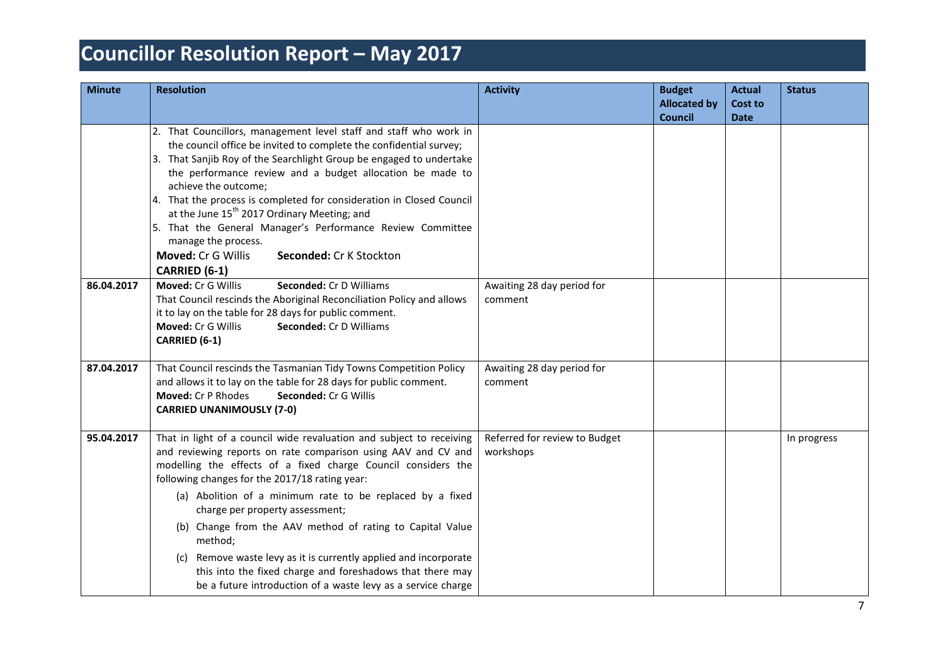| <b>Minute</b> | <b>Resolution</b>                                                                                                                                                                                                                                                                                                                                                                                                                                                                                                                                                                                                                 | <b>Activity</b>                            | <b>Budget</b><br><b>Allocated by</b><br><b>Council</b> | <b>Actual</b><br><b>Cost to</b><br><b>Date</b> | <b>Status</b> |
|---------------|-----------------------------------------------------------------------------------------------------------------------------------------------------------------------------------------------------------------------------------------------------------------------------------------------------------------------------------------------------------------------------------------------------------------------------------------------------------------------------------------------------------------------------------------------------------------------------------------------------------------------------------|--------------------------------------------|--------------------------------------------------------|------------------------------------------------|---------------|
|               | 2. That Councillors, management level staff and staff who work in<br>the council office be invited to complete the confidential survey;<br>3. That Sanjib Roy of the Searchlight Group be engaged to undertake<br>the performance review and a budget allocation be made to<br>achieve the outcome;<br>4. That the process is completed for consideration in Closed Council<br>at the June 15 <sup>th</sup> 2017 Ordinary Meeting; and<br>5. That the General Manager's Performance Review Committee<br>manage the process.<br>Moved: Cr G Willis<br>Seconded: Cr K Stockton<br>CARRIED (6-1)                                     |                                            |                                                        |                                                |               |
| 86.04.2017    | Moved: Cr G Willis<br>Seconded: Cr D Williams<br>That Council rescinds the Aboriginal Reconciliation Policy and allows<br>it to lay on the table for 28 days for public comment.<br>Moved: Cr G Willis<br>Seconded: Cr D Williams<br>CARRIED (6-1)                                                                                                                                                                                                                                                                                                                                                                                | Awaiting 28 day period for<br>comment      |                                                        |                                                |               |
| 87.04.2017    | That Council rescinds the Tasmanian Tidy Towns Competition Policy<br>and allows it to lay on the table for 28 days for public comment.<br>Moved: Cr P Rhodes<br>Seconded: Cr G Willis<br><b>CARRIED UNANIMOUSLY (7-0)</b>                                                                                                                                                                                                                                                                                                                                                                                                         | Awaiting 28 day period for<br>comment      |                                                        |                                                |               |
| 95.04.2017    | That in light of a council wide revaluation and subject to receiving<br>and reviewing reports on rate comparison using AAV and CV and<br>modelling the effects of a fixed charge Council considers the<br>following changes for the 2017/18 rating year:<br>(a) Abolition of a minimum rate to be replaced by a fixed<br>charge per property assessment;<br>(b) Change from the AAV method of rating to Capital Value<br>method;<br>(c) Remove waste levy as it is currently applied and incorporate<br>this into the fixed charge and foreshadows that there may<br>be a future introduction of a waste levy as a service charge | Referred for review to Budget<br>workshops |                                                        |                                                | In progress   |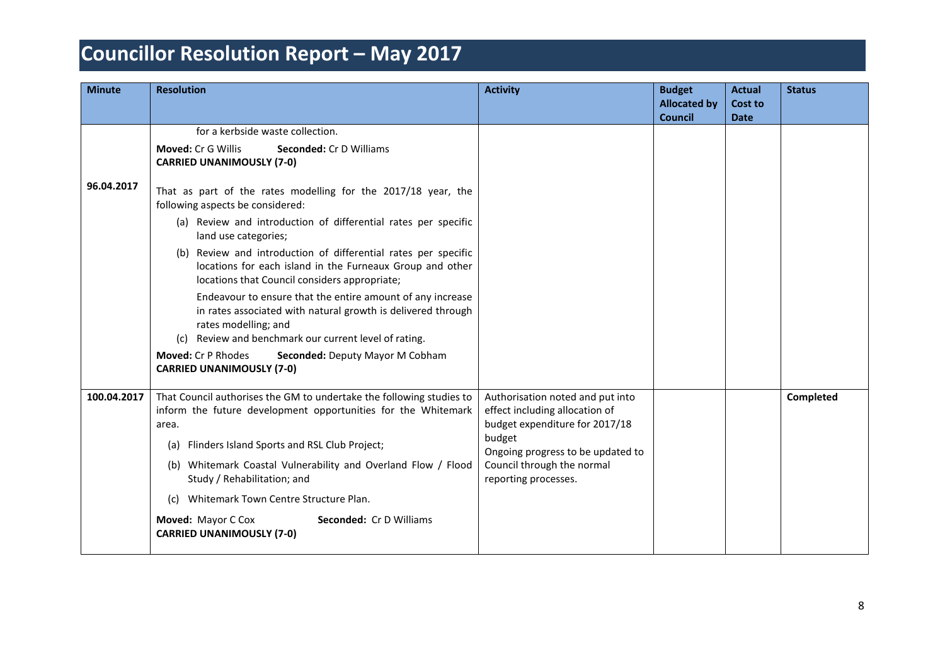| <b>Minute</b> | <b>Resolution</b>                                                                                                                                                                                                                                                                                                                                                                                                                                                                                                                                                                                                                                                                                                                                                                                                          | <b>Activity</b>                                                                                                                                                                                           | <b>Budget</b><br><b>Allocated by</b><br><b>Council</b> | <b>Actual</b><br><b>Cost to</b><br><b>Date</b> | <b>Status</b> |
|---------------|----------------------------------------------------------------------------------------------------------------------------------------------------------------------------------------------------------------------------------------------------------------------------------------------------------------------------------------------------------------------------------------------------------------------------------------------------------------------------------------------------------------------------------------------------------------------------------------------------------------------------------------------------------------------------------------------------------------------------------------------------------------------------------------------------------------------------|-----------------------------------------------------------------------------------------------------------------------------------------------------------------------------------------------------------|--------------------------------------------------------|------------------------------------------------|---------------|
| 96.04.2017    | for a kerbside waste collection.<br><b>Moved: Cr G Willis</b><br>Seconded: Cr D Williams<br><b>CARRIED UNANIMOUSLY (7-0)</b><br>That as part of the rates modelling for the 2017/18 year, the<br>following aspects be considered:<br>(a) Review and introduction of differential rates per specific<br>land use categories;<br>(b) Review and introduction of differential rates per specific<br>locations for each island in the Furneaux Group and other<br>locations that Council considers appropriate;<br>Endeavour to ensure that the entire amount of any increase<br>in rates associated with natural growth is delivered through<br>rates modelling; and<br>Review and benchmark our current level of rating.<br>(C)<br>Moved: Cr P Rhodes<br>Seconded: Deputy Mayor M Cobham<br><b>CARRIED UNANIMOUSLY (7-0)</b> |                                                                                                                                                                                                           |                                                        |                                                |               |
| 100.04.2017   | That Council authorises the GM to undertake the following studies to<br>inform the future development opportunities for the Whitemark<br>area.<br>Flinders Island Sports and RSL Club Project;<br>(a)<br>(b) Whitemark Coastal Vulnerability and Overland Flow / Flood<br>Study / Rehabilitation; and<br>(c) Whitemark Town Centre Structure Plan.<br>Moved: Mayor C Cox<br><b>Seconded: Cr D Williams</b><br><b>CARRIED UNANIMOUSLY (7-0)</b>                                                                                                                                                                                                                                                                                                                                                                             | Authorisation noted and put into<br>effect including allocation of<br>budget expenditure for 2017/18<br>budget<br>Ongoing progress to be updated to<br>Council through the normal<br>reporting processes. |                                                        |                                                | Completed     |